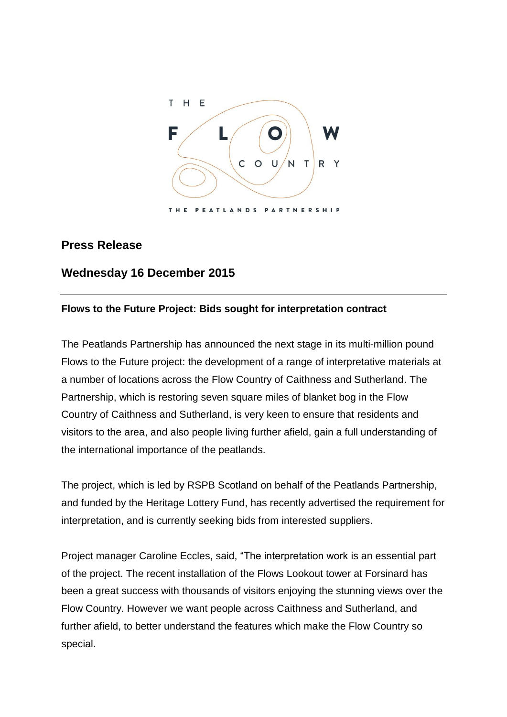

## **Press Release**

# **Wednesday 16 December 2015**

### **Flows to the Future Project: Bids sought for interpretation contract**

The Peatlands Partnership has announced the next stage in its multi-million pound Flows to the Future project: the development of a range of interpretative materials at a number of locations across the Flow Country of Caithness and Sutherland. The Partnership, which is restoring seven square miles of blanket bog in the Flow Country of Caithness and Sutherland, is very keen to ensure that residents and visitors to the area, and also people living further afield, gain a full understanding of the international importance of the peatlands.

The project, which is led by RSPB Scotland on behalf of the Peatlands Partnership, and funded by the Heritage Lottery Fund, has recently advertised the requirement for interpretation, and is currently seeking bids from interested suppliers.

Project manager Caroline Eccles, said, "The interpretation work is an essential part of the project. The recent installation of the Flows Lookout tower at Forsinard has been a great success with thousands of visitors enjoying the stunning views over the Flow Country. However we want people across Caithness and Sutherland, and further afield, to better understand the features which make the Flow Country so special.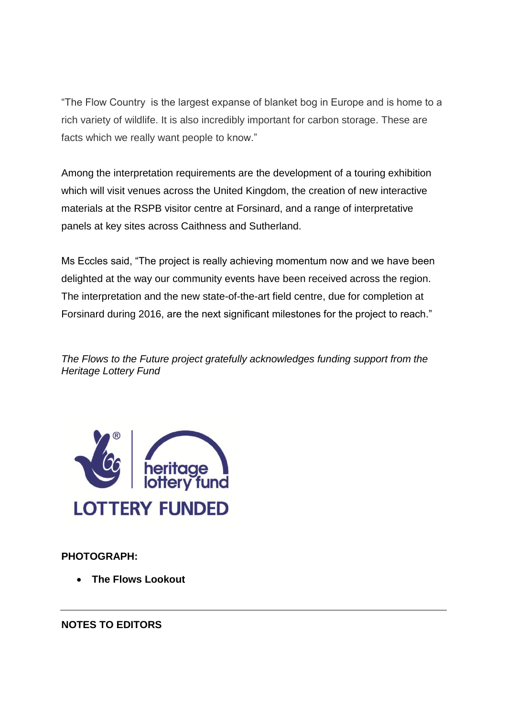"The Flow Country is the largest expanse of blanket bog in Europe and is home to a rich variety of wildlife. It is also incredibly important for carbon storage. These are facts which we really want people to know."

Among the interpretation requirements are the development of a touring exhibition which will visit venues across the United Kingdom, the creation of new interactive materials at the RSPB visitor centre at Forsinard, and a range of interpretative panels at key sites across Caithness and Sutherland.

Ms Eccles said, "The project is really achieving momentum now and we have been delighted at the way our community events have been received across the region. The interpretation and the new state-of-the-art field centre, due for completion at Forsinard during 2016, are the next significant milestones for the project to reach."

*The Flows to the Future project gratefully acknowledges funding support from the Heritage Lottery Fund* 



**PHOTOGRAPH:**

**The Flows Lookout**

**NOTES TO EDITORS**